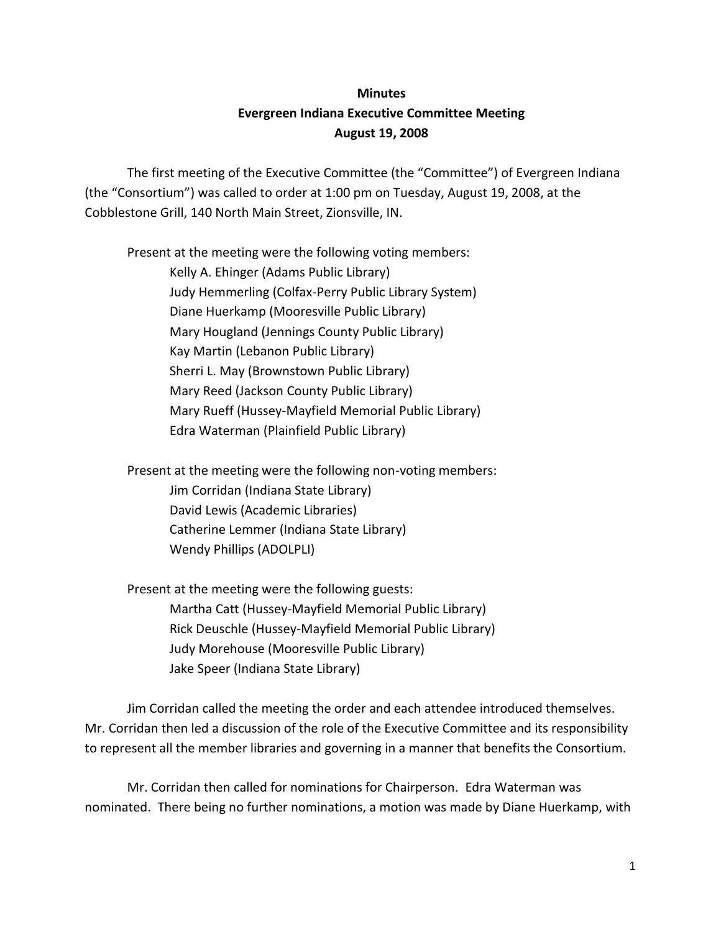## **Minutes Evergreen Indiana Executive Committee Meeting August 19, 2008**

The first meeting of the Executive Committee (the "Committee") of Evergreen Indiana (the "Consortium") was called to order at 1:00 pm on Tuesday, August 19, 2008, at the Cobblestone Grill, 140 North Main Street, Zionsville, IN.

Present at the meeting were the following voting members: Kelly A. Ehinger (Adams Public Library) Judy Hemmerling (Colfax-Perry Public Library System) Diane Huerkamp (Mooresville Public Library) Mary Hougland (Jennings County Public Library) Kay Martin (Lebanon Public Library) Sherri L. May (Brownstown Public Library) Mary Reed (Jackson County Public Library) Mary Rueff (Hussey-Mayfield Memorial Public Library) Edra Waterman (Plainfield Public Library)

Present at the meeting were the following non-voting members: Jim Corridan (Indiana State Library) David Lewis (Academic Libraries) Catherine Lemmer (Indiana State Library) Wendy Phillips (ADOLPLI)

Present at the meeting were the following guests: Martha Catt (Hussey-Mayfield Memorial Public Library) Rick Deuschle (Hussey-Mayfield Memorial Public Library) Judy Morehouse (Mooresville Public Library) Jake Speer (Indiana State Library)

Jim Corridan called the meeting the order and each attendee introduced themselves. Mr. Corridan then led a discussion of the role of the Executive Committee and its responsibility to represent all the member libraries and governing in a manner that benefits the Consortium.

Mr. Corridan then called for nominations for Chairperson. Edra Waterman was nominated. There being no further nominations, a motion was made by Diane Huerkamp, with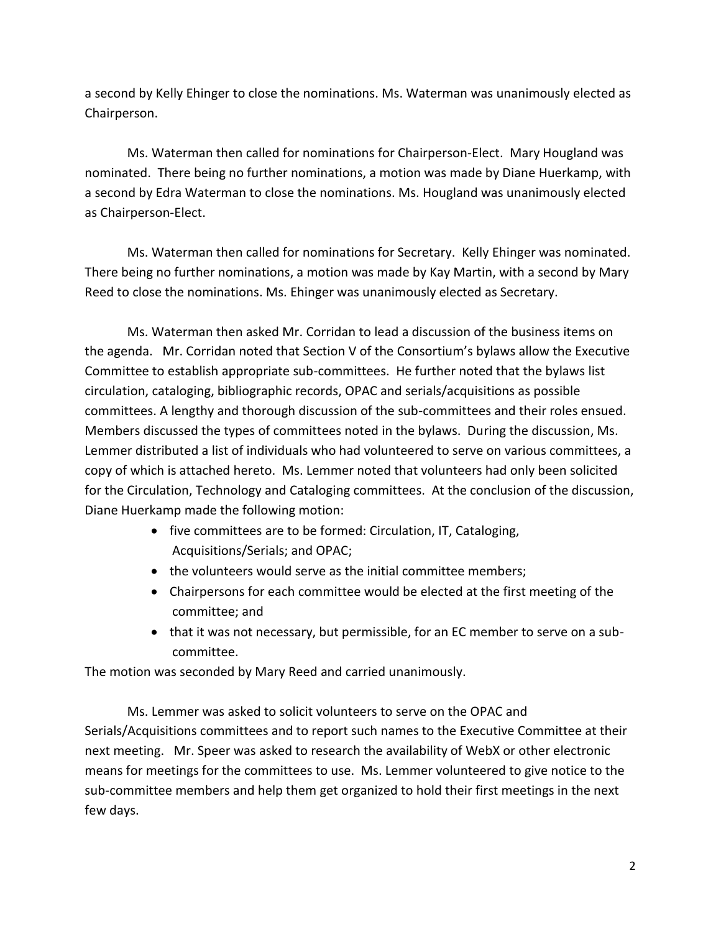a second by Kelly Ehinger to close the nominations. Ms. Waterman was unanimously elected as Chairperson.

Ms. Waterman then called for nominations for Chairperson-Elect. Mary Hougland was nominated. There being no further nominations, a motion was made by Diane Huerkamp, with a second by Edra Waterman to close the nominations. Ms. Hougland was unanimously elected as Chairperson-Elect.

Ms. Waterman then called for nominations for Secretary. Kelly Ehinger was nominated. There being no further nominations, a motion was made by Kay Martin, with a second by Mary Reed to close the nominations. Ms. Ehinger was unanimously elected as Secretary.

Ms. Waterman then asked Mr. Corridan to lead a discussion of the business items on the agenda. Mr. Corridan noted that Section V of the Consortium's bylaws allow the Executive Committee to establish appropriate sub-committees. He further noted that the bylaws list circulation, cataloging, bibliographic records, OPAC and serials/acquisitions as possible committees. A lengthy and thorough discussion of the sub-committees and their roles ensued. Members discussed the types of committees noted in the bylaws. During the discussion, Ms. Lemmer distributed a list of individuals who had volunteered to serve on various committees, a copy of which is attached hereto. Ms. Lemmer noted that volunteers had only been solicited for the Circulation, Technology and Cataloging committees. At the conclusion of the discussion, Diane Huerkamp made the following motion:

- five committees are to be formed: Circulation, IT, Cataloging, Acquisitions/Serials; and OPAC;
- the volunteers would serve as the initial committee members;
- Chairpersons for each committee would be elected at the first meeting of the committee; and
- that it was not necessary, but permissible, for an EC member to serve on a subcommittee.

The motion was seconded by Mary Reed and carried unanimously.

Ms. Lemmer was asked to solicit volunteers to serve on the OPAC and Serials/Acquisitions committees and to report such names to the Executive Committee at their next meeting. Mr. Speer was asked to research the availability of WebX or other electronic means for meetings for the committees to use. Ms. Lemmer volunteered to give notice to the sub-committee members and help them get organized to hold their first meetings in the next few days.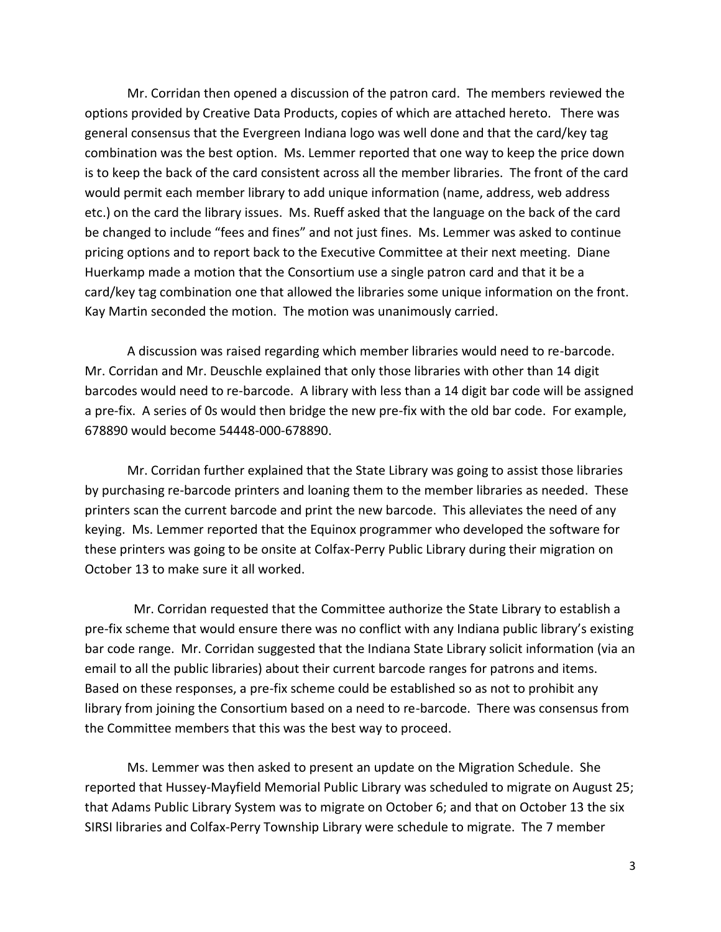Mr. Corridan then opened a discussion of the patron card. The members reviewed the options provided by Creative Data Products, copies of which are attached hereto. There was general consensus that the Evergreen Indiana logo was well done and that the card/key tag combination was the best option. Ms. Lemmer reported that one way to keep the price down is to keep the back of the card consistent across all the member libraries. The front of the card would permit each member library to add unique information (name, address, web address etc.) on the card the library issues. Ms. Rueff asked that the language on the back of the card be changed to include "fees and fines" and not just fines. Ms. Lemmer was asked to continue pricing options and to report back to the Executive Committee at their next meeting. Diane Huerkamp made a motion that the Consortium use a single patron card and that it be a card/key tag combination one that allowed the libraries some unique information on the front. Kay Martin seconded the motion. The motion was unanimously carried.

A discussion was raised regarding which member libraries would need to re-barcode. Mr. Corridan and Mr. Deuschle explained that only those libraries with other than 14 digit barcodes would need to re-barcode. A library with less than a 14 digit bar code will be assigned a pre-fix. A series of 0s would then bridge the new pre-fix with the old bar code. For example, 678890 would become 54448-000-678890.

Mr. Corridan further explained that the State Library was going to assist those libraries by purchasing re-barcode printers and loaning them to the member libraries as needed. These printers scan the current barcode and print the new barcode. This alleviates the need of any keying. Ms. Lemmer reported that the Equinox programmer who developed the software for these printers was going to be onsite at Colfax-Perry Public Library during their migration on October 13 to make sure it all worked.

 Mr. Corridan requested that the Committee authorize the State Library to establish a pre-fix scheme that would ensure there was no conflict with any Indiana public library's existing bar code range. Mr. Corridan suggested that the Indiana State Library solicit information (via an email to all the public libraries) about their current barcode ranges for patrons and items. Based on these responses, a pre-fix scheme could be established so as not to prohibit any library from joining the Consortium based on a need to re-barcode. There was consensus from the Committee members that this was the best way to proceed.

Ms. Lemmer was then asked to present an update on the Migration Schedule. She reported that Hussey-Mayfield Memorial Public Library was scheduled to migrate on August 25; that Adams Public Library System was to migrate on October 6; and that on October 13 the six SIRSI libraries and Colfax-Perry Township Library were schedule to migrate. The 7 member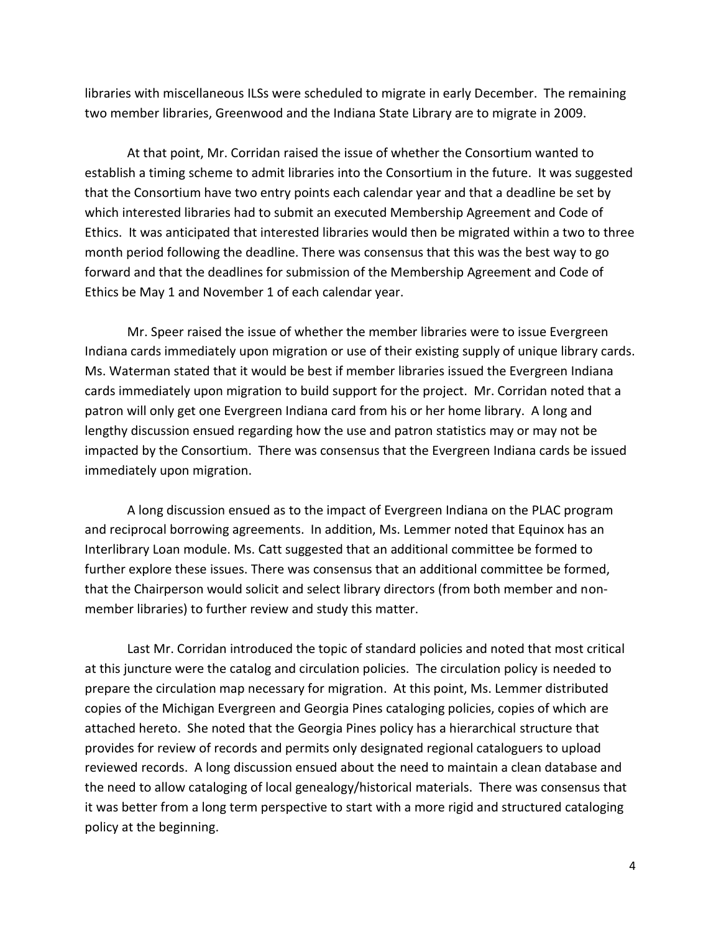libraries with miscellaneous ILSs were scheduled to migrate in early December. The remaining two member libraries, Greenwood and the Indiana State Library are to migrate in 2009.

At that point, Mr. Corridan raised the issue of whether the Consortium wanted to establish a timing scheme to admit libraries into the Consortium in the future. It was suggested that the Consortium have two entry points each calendar year and that a deadline be set by which interested libraries had to submit an executed Membership Agreement and Code of Ethics. It was anticipated that interested libraries would then be migrated within a two to three month period following the deadline. There was consensus that this was the best way to go forward and that the deadlines for submission of the Membership Agreement and Code of Ethics be May 1 and November 1 of each calendar year.

Mr. Speer raised the issue of whether the member libraries were to issue Evergreen Indiana cards immediately upon migration or use of their existing supply of unique library cards. Ms. Waterman stated that it would be best if member libraries issued the Evergreen Indiana cards immediately upon migration to build support for the project. Mr. Corridan noted that a patron will only get one Evergreen Indiana card from his or her home library. A long and lengthy discussion ensued regarding how the use and patron statistics may or may not be impacted by the Consortium. There was consensus that the Evergreen Indiana cards be issued immediately upon migration.

A long discussion ensued as to the impact of Evergreen Indiana on the PLAC program and reciprocal borrowing agreements. In addition, Ms. Lemmer noted that Equinox has an Interlibrary Loan module. Ms. Catt suggested that an additional committee be formed to further explore these issues. There was consensus that an additional committee be formed, that the Chairperson would solicit and select library directors (from both member and nonmember libraries) to further review and study this matter.

Last Mr. Corridan introduced the topic of standard policies and noted that most critical at this juncture were the catalog and circulation policies. The circulation policy is needed to prepare the circulation map necessary for migration. At this point, Ms. Lemmer distributed copies of the Michigan Evergreen and Georgia Pines cataloging policies, copies of which are attached hereto. She noted that the Georgia Pines policy has a hierarchical structure that provides for review of records and permits only designated regional cataloguers to upload reviewed records. A long discussion ensued about the need to maintain a clean database and the need to allow cataloging of local genealogy/historical materials. There was consensus that it was better from a long term perspective to start with a more rigid and structured cataloging policy at the beginning.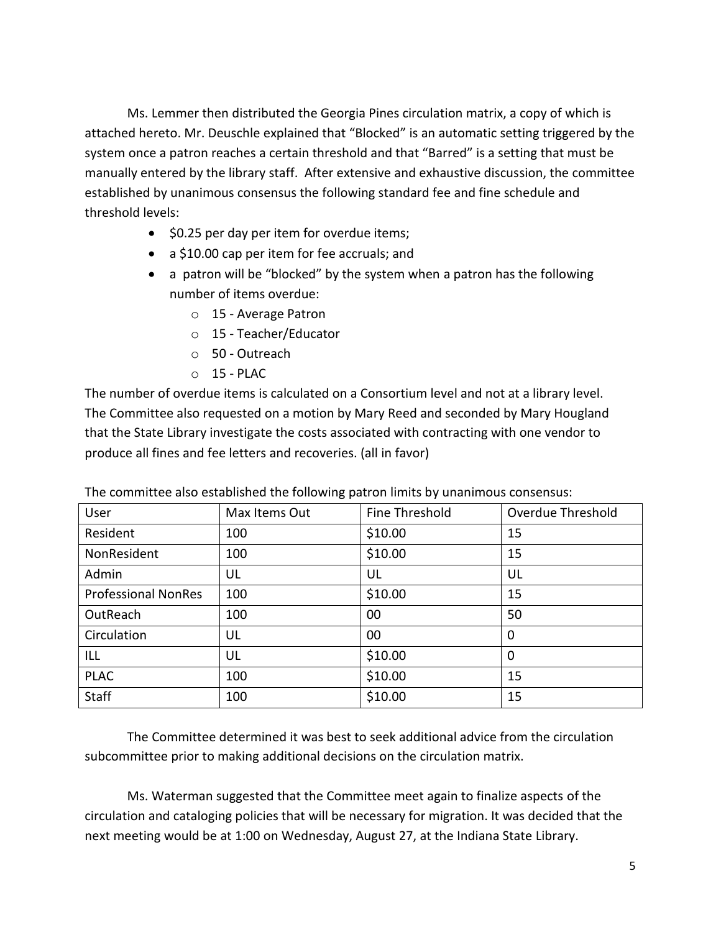Ms. Lemmer then distributed the Georgia Pines circulation matrix, a copy of which is attached hereto. Mr. Deuschle explained that "Blocked" is an automatic setting triggered by the system once a patron reaches a certain threshold and that "Barred" is a setting that must be manually entered by the library staff. After extensive and exhaustive discussion, the committee established by unanimous consensus the following standard fee and fine schedule and threshold levels:

- \$0.25 per day per item for overdue items;
- a \$10.00 cap per item for fee accruals; and
- a patron will be "blocked" by the system when a patron has the following number of items overdue:
	- o 15 Average Patron
	- o 15 Teacher/Educator
	- o 50 Outreach
	- $O$  15 PLAC

The number of overdue items is calculated on a Consortium level and not at a library level. The Committee also requested on a motion by Mary Reed and seconded by Mary Hougland that the State Library investigate the costs associated with contracting with one vendor to produce all fines and fee letters and recoveries. (all in favor)

| ັ່                         |               |                |                   |
|----------------------------|---------------|----------------|-------------------|
| User                       | Max Items Out | Fine Threshold | Overdue Threshold |
| Resident                   | 100           | \$10.00        | 15                |
| NonResident                | 100           | \$10.00        | 15                |
| Admin                      | UL            | UL             | UL                |
| <b>Professional NonRes</b> | 100           | \$10.00        | 15                |
| OutReach                   | 100           | 00             | 50                |
| Circulation                | UL            | 00             | 0                 |
| ILL                        | UL            | \$10.00        | 0                 |
| <b>PLAC</b>                | 100           | \$10.00        | 15                |
| <b>Staff</b>               | 100           | \$10.00        | 15                |

The committee also established the following patron limits by unanimous consensus:

The Committee determined it was best to seek additional advice from the circulation subcommittee prior to making additional decisions on the circulation matrix.

Ms. Waterman suggested that the Committee meet again to finalize aspects of the circulation and cataloging policies that will be necessary for migration. It was decided that the next meeting would be at 1:00 on Wednesday, August 27, at the Indiana State Library.